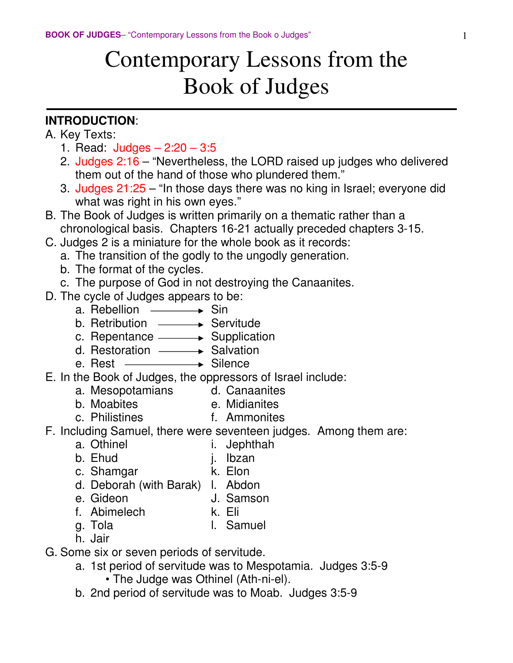# Contemporary Lessons from the Book of Judges

#### **INTRODUCTION**:

- A. Key Texts:
	- 1. Read: Judges 2:20 3:5
	- 2. Judges 2:16 "Nevertheless, the LORD raised up judges who delivered them out of the hand of those who plundered them."
	- 3. Judges 21:25 "In those days there was no king in Israel; everyone did what was right in his own eyes."
- B. The Book of Judges is written primarily on a thematic rather than a chronological basis. Chapters 16-21 actually preceded chapters 3-15.
- C. Judges 2 is a miniature for the whole book as it records:
	- a. The transition of the godly to the ungodly generation.
	- b. The format of the cycles.
	- c. The purpose of God in not destroying the Canaanites.
- D. The cycle of Judges appears to be:
	- a. Rebellion  $\longrightarrow$  Sin
	- b. Retribution  $\longrightarrow$  Servitude
- c. Repentance  $\longrightarrow$  Supplication
- d. Restoration  $\longrightarrow$  Salvation
	- e. Rest  $\longrightarrow$  Silence
- E. In the Book of Judges, the oppressors of Israel include:
	- a. Mesopotamians d. Canaanites
	- b. Moabites e. Midianites
	-
	- c. Philistines f. Ammonites
- F. Including Samuel, there were seventeen judges. Among them are:
	- a. Othinel i. Jephthah
	- b. Ehud j. Ibzan
	- c. Shamgar **k.** Elon
	- d. Deborah (with Barak) l. Abdon
	- e. Gideon J. Samson
		-
	- f. Abimelech k. Eli
	- g. Tola l. Samuel
	- h. Jair
- G. Some six or seven periods of servitude.
	- a. 1st period of servitude was to Mespotamia. Judges 3:5-9 • The Judge was Othinel (Ath-ni-el).
	- b. 2nd period of servitude was to Moab. Judges 3:5-9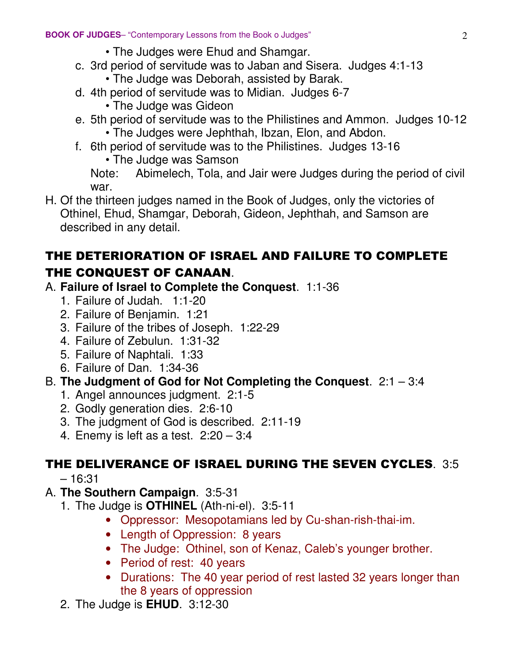- The Judges were Ehud and Shamgar.
- c. 3rd period of servitude was to Jaban and Sisera. Judges 4:1-13
	- The Judge was Deborah, assisted by Barak.
- d. 4th period of servitude was to Midian. Judges 6-7
	- The Judge was Gideon
- e. 5th period of servitude was to the Philistines and Ammon. Judges 10-12
	- The Judges were Jephthah, Ibzan, Elon, and Abdon.
- f. 6th period of servitude was to the Philistines. Judges 13-16
	- The Judge was Samson

 Note: Abimelech, Tola, and Jair were Judges during the period of civil war.

H. Of the thirteen judges named in the Book of Judges, only the victories of Othinel, Ehud, Shamgar, Deborah, Gideon, Jephthah, and Samson are described in any detail.

## THE DETERIORATION OF ISRAEL AND FAILURE TO COMPLETE THE CONQUEST OF CANAAN.

#### A. **Failure of Israel to Complete the Conquest**. 1:1-36

- 1. Failure of Judah. 1:1-20
- 2. Failure of Benjamin. 1:21
- 3. Failure of the tribes of Joseph. 1:22-29
- 4. Failure of Zebulun. 1:31-32
- 5. Failure of Naphtali. 1:33
- 6. Failure of Dan. 1:34-36

#### B. **The Judgment of God for Not Completing the Conquest**. 2:1 – 3:4

- 1. Angel announces judgment. 2:1-5
- 2. Godly generation dies. 2:6-10
- 3. The judgment of God is described. 2:11-19
- 4. Enemy is left as a test. 2:20 3:4

## THE DELIVERANCE OF ISRAEL DURING THE SEVEN CYCLES. 3:5

– 16:31

#### A. **The Southern Campaign**. 3:5-31

- 1. The Judge is **OTHINEL** (Ath-ni-el). 3:5-11
	- Oppressor: Mesopotamians led by Cu-shan-rish-thai-im.
	- Length of Oppression: 8 years
	- The Judge: Othinel, son of Kenaz, Caleb's younger brother.
	- Period of rest: 40 years
	- Durations: The 40 year period of rest lasted 32 years longer than the 8 years of oppression
- 2. The Judge is **EHUD**. 3:12-30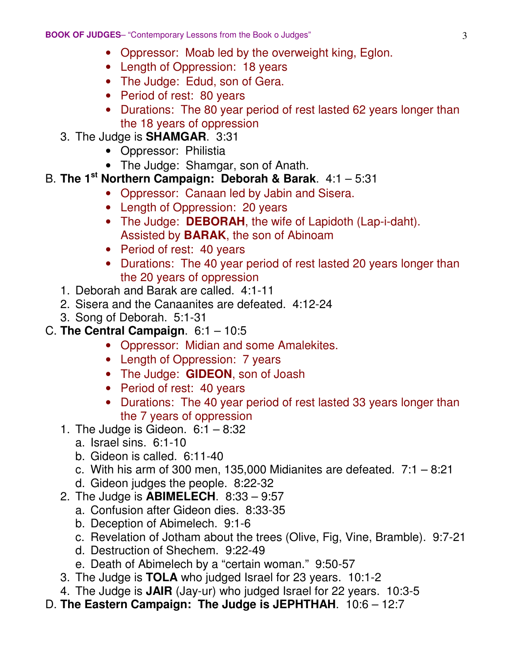- Oppressor: Moab led by the overweight king, Eglon.
- Length of Oppression: 18 years
- The Judge: Edud, son of Gera.
- Period of rest: 80 years
- Durations: The 80 year period of rest lasted 62 years longer than the 18 years of oppression
- 3. The Judge is **SHAMGAR**. 3:31
	- Oppressor: Philistia
	- The Judge: Shamgar, son of Anath.
- B. **The 1st Northern Campaign: Deborah & Barak**. 4:1 5:31
	- Oppressor: Canaan led by Jabin and Sisera.
	- Length of Oppression: 20 years
	- The Judge: **DEBORAH**, the wife of Lapidoth (Lap-i-daht). Assisted by **BARAK**, the son of Abinoam
	- Period of rest: 40 years
	- Durations: The 40 year period of rest lasted 20 years longer than the 20 years of oppression
	- 1. Deborah and Barak are called. 4:1-11
	- 2. Sisera and the Canaanites are defeated. 4:12-24
	- 3. Song of Deborah. 5:1-31
- C. **The Central Campaign**. 6:1 10:5
	- Oppressor: Midian and some Amalekites.
	- Length of Oppression: 7 years
	- The Judge: **GIDEON**, son of Joash
	- Period of rest: 40 years
	- Durations: The 40 year period of rest lasted 33 years longer than the 7 years of oppression
	- 1. The Judge is Gideon.  $6:1 8:32$ 
		- a. Israel sins. 6:1-10
		- b. Gideon is called. 6:11-40
		- c. With his arm of 300 men, 135,000 Midianites are defeated.  $7:1 8:21$
		- d. Gideon judges the people. 8:22-32
	- 2. The Judge is **ABIMELECH**. 8:33 9:57
		- a. Confusion after Gideon dies. 8:33-35
		- b. Deception of Abimelech. 9:1-6
		- c. Revelation of Jotham about the trees (Olive, Fig, Vine, Bramble). 9:7-21
		- d. Destruction of Shechem. 9:22-49
		- e. Death of Abimelech by a "certain woman." 9:50-57
	- 3. The Judge is **TOLA** who judged Israel for 23 years. 10:1-2
	- 4. The Judge is **JAIR** (Jay-ur) who judged Israel for 22 years. 10:3-5
- D. **The Eastern Campaign: The Judge is JEPHTHAH**. 10:6 12:7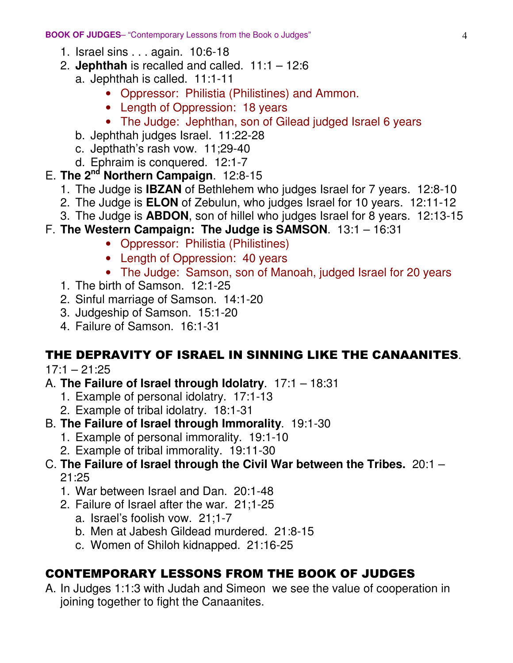- 1. Israel sins . . . again. 10:6-18
- 2. **Jephthah** is recalled and called.  $11:1 12:6$ 
	- a. Jephthah is called. 11:1-11
		- Oppressor: Philistia (Philistines) and Ammon.
		- Length of Oppression: 18 years
		- The Judge: Jephthan, son of Gilead judged Israel 6 years
	- b. Jephthah judges Israel. 11:22-28
	- c. Jepthath's rash vow. 11;29-40
	- d. Ephraim is conquered. 12:1-7
- E. **The 2nd Northern Campaign**. 12:8-15
	- 1. The Judge is **IBZAN** of Bethlehem who judges Israel for 7 years. 12:8-10
	- 2. The Judge is **ELON** of Zebulun, who judges Israel for 10 years. 12:11-12
	- 3. The Judge is **ABDON**, son of hillel who judges Israel for 8 years. 12:13-15
- F. **The Western Campaign: The Judge is SAMSON**. 13:1 16:31
	- Oppressor: Philistia (Philistines)
	- Length of Oppression: 40 years
	- The Judge: Samson, son of Manoah, judged Israel for 20 years
	- 1. The birth of Samson. 12:1-25
	- 2. Sinful marriage of Samson. 14:1-20
	- 3. Judgeship of Samson. 15:1-20
	- 4. Failure of Samson. 16:1-31

## THE DEPRAVITY OF ISRAEL IN SINNING LIKE THE CANAANITES.

 $17:1 - 21:25$ 

- A. **The Failure of Israel through Idolatry**. 17:1 18:31
	- 1. Example of personal idolatry. 17:1-13
	- 2. Example of tribal idolatry. 18:1-31
- B. **The Failure of Israel through Immorality**. 19:1-30
	- 1. Example of personal immorality. 19:1-10
	- 2. Example of tribal immorality. 19:11-30
- C. **The Failure of Israel through the Civil War between the Tribes.** 20:1 21:25
	- 1. War between Israel and Dan. 20:1-48
	- 2. Failure of Israel after the war. 21;1-25
		- a. Israel's foolish vow. 21;1-7
		- b. Men at Jabesh Gildead murdered. 21:8-15
		- c. Women of Shiloh kidnapped. 21:16-25

## CONTEMPORARY LESSONS FROM THE BOOK OF JUDGES

A. In Judges 1:1:3 with Judah and Simeon we see the value of cooperation in joining together to fight the Canaanites.